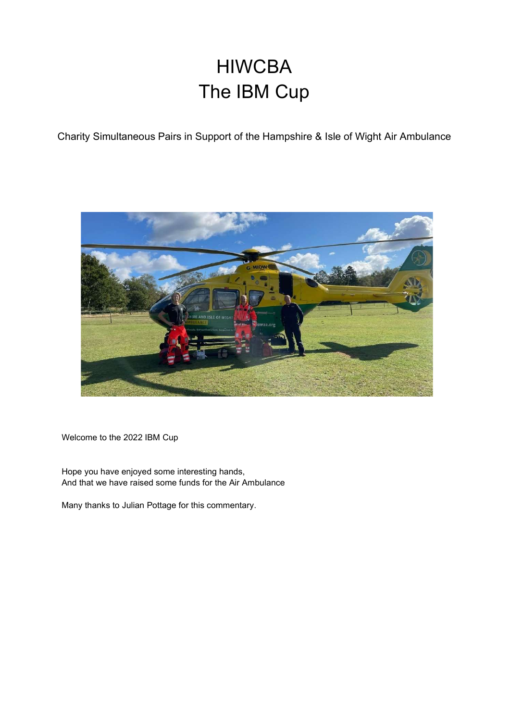## HIWCBA The IBM Cup

Charity Simultaneous Pairs in Support of the Hampshire & Isle of Wight Air Ambulance



Welcome to the 2022 IBM Cup

Hope you have enjoyed some interesting hands, And that we have raised some funds for the Air Ambulance

Many thanks to Julian Pottage for this commentary.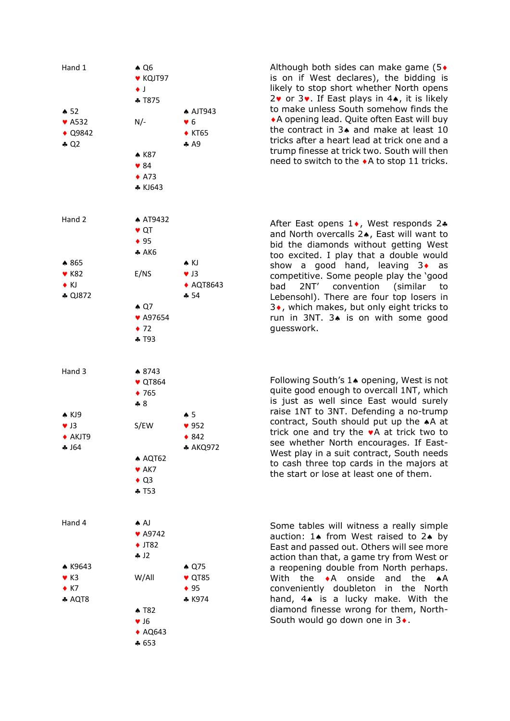

Although both sides can make game  $(5\bullet)$ is on if West declares), the bidding is likely to stop short whether North opens  $2\mathbf{v}$  or  $3\mathbf{v}$ . If East plays in  $4\mathbf{A}$ , it is likely to make unless South somehow finds the A opening lead. Quite often East will buy the contract in  $3\bullet$  and make at least 10 tricks after a heart lead at trick one and a trump finesse at trick two. South will then need to switch to the  $\triangle$  A to stop 11 tricks.

After East opens  $1\bullet$ , West responds 2 $\bullet$ and North overcalls 24, East will want to bid the diamonds without getting West too excited. I play that a double would show a good hand, leaving  $3 \cdot$  as competitive. Some people play the 'good bad 2NT' convention (similar to Lebensohl). There are four top losers in  $3\bullet$ , which makes, but only eight tricks to run in 3NT.  $3\spadesuit$  is on with some good guesswork.

Following South's 1<sup>\*</sup> opening, West is not quite good enough to overcall 1NT, which is just as well since East would surely raise 1NT to 3NT. Defending a no-trump contract, South should put up the  $*A$  at trick one and try the  $\bullet$  A at trick two to see whether North encourages. If East-West play in a suit contract, South needs to cash three top cards in the majors at the start or lose at least one of them.

Some tables will witness a really simple auction:  $1$  from West raised to  $2$  by East and passed out. Others will see more action than that, a game try from West or a reopening double from North perhaps. With the  $\bullet$ A onside and the  $\bullet$ A conveniently doubleton in the North hand,  $4\spadesuit$  is a lucky make. With the diamond finesse wrong for them, North-South would go down one in  $3\bullet$ .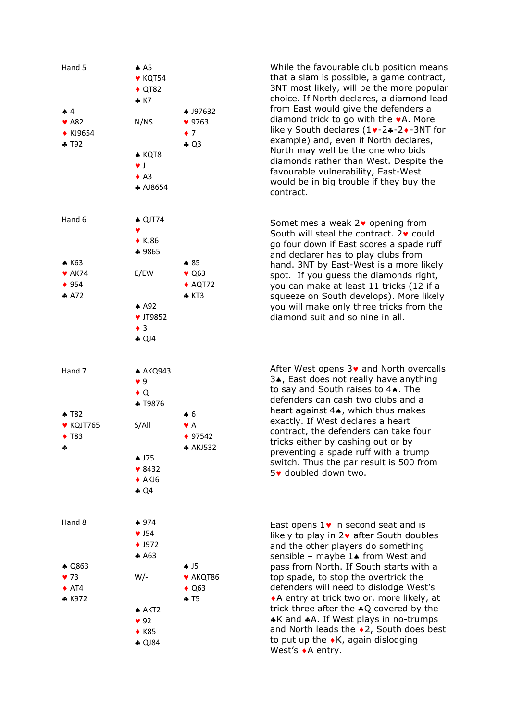

While the favourable club position means that a slam is possible, a game contract, 3NT most likely, will be the more popular choice. If North declares, a diamond lead from East would give the defenders a diamond trick to go with the  $\blacktriangleright$  A. More likely South declares  $(1 \cdot -2 \cdot -3)$ NT for example) and, even if North declares, North may well be the one who bids diamonds rather than West. Despite the favourable vulnerability, East-West would be in big trouble if they buy the contract.

Sometimes a weak  $2\bullet$  opening from South will steal the contract.  $2 \cdot \text{could}$ go four down if East scores a spade ruff and declarer has to play clubs from hand. 3NT by East-West is a more likely spot. If you guess the diamonds right, you can make at least 11 tricks (12 if a squeeze on South develops). More likely you will make only three tricks from the diamond suit and so nine in all.

After West opens  $3\bullet$  and North overcalls 3. East does not really have anything to say and South raises to  $4\spadesuit$ . The defenders can cash two clubs and a heart against  $4\bullet$ , which thus makes exactly. If West declares a heart contract, the defenders can take four tricks either by cashing out or by preventing a spade ruff with a trump switch. Thus the par result is 500 from 5• doubled down two.

East opens  $1\bullet$  in second seat and is likely to play in  $2\vee$  after South doubles and the other players do something sensible – maybe  $1\spadesuit$  from West and pass from North. If South starts with a top spade, to stop the overtrick the defenders will need to dislodge West's A entry at trick two or, more likely, at trick three after the  $*Q$  covered by the \*K and \*A. If West plays in no-trumps and North leads the  $\triangle$ 2, South does best to put up the  $\bullet$ K, again dislodging West's  $\bullet$  A entry.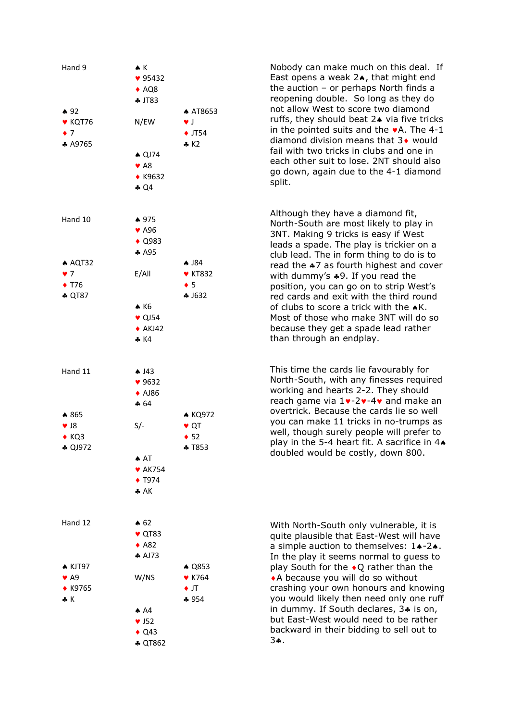

Nobody can make much on this deal. If East opens a weak  $2\star$ , that might end the auction – or perhaps North finds a reopening double. So long as they do not allow West to score two diamond ruffs, they should beat  $2\spadesuit$  via five tricks in the pointed suits and the  $\blacktriangleright$  A. The 4-1 diamond division means that  $3\bullet$  would fail with two tricks in clubs and one in each other suit to lose. 2NT should also go down, again due to the 4-1 diamond split.

Although they have a diamond fit, North-South are most likely to play in 3NT. Making 9 tricks is easy if West leads a spade. The play is trickier on a club lead. The in form thing to do is to read the  $*7$  as fourth highest and cover with dummy's  $*9$ . If you read the position, you can go on to strip West's red cards and exit with the third round of clubs to score a trick with the  $\triangle K$ . Most of those who make 3NT will do so because they get a spade lead rather than through an endplay.

This time the cards lie favourably for North-South, with any finesses required working and hearts 2-2. They should reach game via  $1 \vee -2 \vee -4 \vee$  and make an overtrick. Because the cards lie so well you can make 11 tricks in no-trumps as well, though surely people will prefer to play in the 5-4 heart fit. A sacrifice in  $4\bullet$ doubled would be costly, down 800.

With North-South only vulnerable, it is quite plausible that East-West will have a simple auction to themselves:  $1 \cdot -2 \cdot$ . In the play it seems normal to guess to play South for the  $\bullet$  Q rather than the A because you will do so without crashing your own honours and knowing you would likely then need only one ruff in dummy. If South declares,  $3*$  is on, but East-West would need to be rather backward in their bidding to sell out to 3.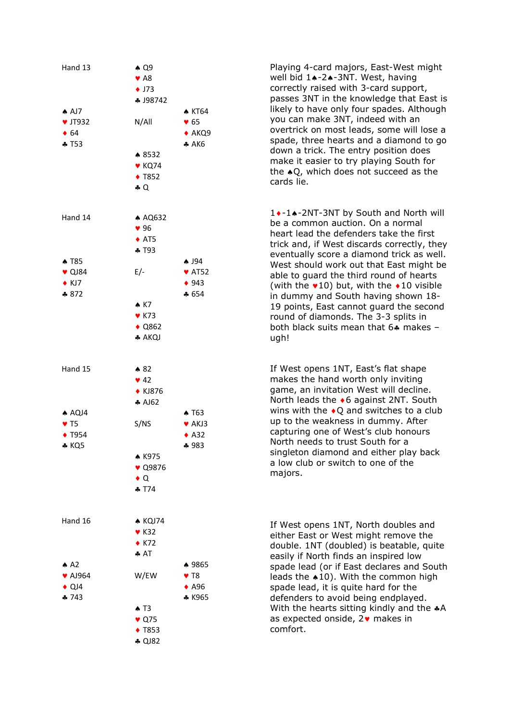| Hand 13                                                                            | $\triangle$ Q9<br>$\blacktriangleright$ A8<br>$\bullet$ J73<br>♣ J98742 |                                                                         |
|------------------------------------------------------------------------------------|-------------------------------------------------------------------------|-------------------------------------------------------------------------|
| AD7<br><b>v</b> JT932<br>$\bullet$ 64<br>$+T53$                                    | N/AlI                                                                   | <b>A KT64</b><br>$\bullet$ 65<br>$\triangle$ AKQ9<br>A K6               |
|                                                                                    | ♦ 8532<br>$\blacktriangledown$ KQ74<br>◆ T852<br>$\clubsuit$ Q          |                                                                         |
| Hand 14                                                                            | ▲ AQ632<br>96<br>$\triangle$ AT5<br>$+T93$                              |                                                                         |
| <b>A T85</b><br>$\bullet$ QJ84<br>$\triangle$ KJ7<br>\$872                         | E/-<br>$\star$ K7                                                       | $\clubsuit$ J94<br>$\blacktriangledown$ AT52<br>$\bullet$ 943<br>$-654$ |
|                                                                                    | $\blacktriangledown$ K73<br>$\triangle$ Q862<br>♣ AKQJ                  |                                                                         |
| Hand 15                                                                            | $\bullet 82$<br>$\blacktriangledown$ 42<br>◆ KJ876<br>A162              |                                                                         |
| $A\bigtriangleup$ AQJ4<br>$\blacktriangledown$ T5<br>$\blacklozenge$ T954<br>♣ KQ5 | S/NS<br>▲ K975<br>♥ Q9876                                               | $\triangle$ T63<br>♥ AKJ3<br>$\triangle$ A32<br>♣ 983                   |
| Hand 16                                                                            | $\bullet$ Q<br>$-574$<br>$\triangle$ KQJ74                              |                                                                         |
| $A^2$                                                                              | $\blacktriangledown$ K32<br>$\triangle$ K72<br>AT                       | ♦ 9865                                                                  |
| ♥ AJ964<br>$\triangle$ QJ4<br>$-743$                                               | W/EW<br>$\triangle$ T3                                                  | $\blacktriangledown$ T8<br>$\triangle$ A96<br>* K965                    |
|                                                                                    | $\bullet$ Q75<br>◆ T853<br><b>4 QJ82</b>                                |                                                                         |

Playing 4-card majors, East-West might well bid 1+-2+-3NT. West, having correctly raised with 3-card support, passes 3NT in the knowledge that East is likely to have only four spades. Although you can make 3NT, indeed with an overtrick on most leads, some will lose a spade, three hearts and a diamond to go down a trick. The entry position does make it easier to try playing South for the  $\triangle$ O, which does not succeed as the cards lie.

1 • - 1 • - 2NT-3NT by South and North will be a common auction. On a normal heart lead the defenders take the first trick and, if West discards correctly, they eventually score a diamond trick as well. West should work out that East might be able to guard the third round of hearts (with the  $\sqrt{10}$ ) but, with the  $\sqrt{10}$  visible in dummy and South having shown 18- 19 points, East cannot guard the second round of diamonds. The 3-3 splits in both black suits mean that  $64$  makes ugh!

If West opens 1NT, East's flat shape makes the hand worth only inviting game, an invitation West will decline. North leads the  $\bullet$  6 against 2NT. South wins with the  $\bullet$ O and switches to a club up to the weakness in dummy. After capturing one of West's club honours North needs to trust South for a singleton diamond and either play back a low club or switch to one of the majors.

If West opens 1NT, North doubles and either East or West might remove the double. 1NT (doubled) is beatable, quite easily if North finds an inspired low spade lead (or if East declares and South leads the  $*10$ ). With the common high spade lead, it is quite hard for the defenders to avoid being endplayed. With the hearts sitting kindly and the  $*A$ as expected onside,  $2\bullet$  makes in comfort.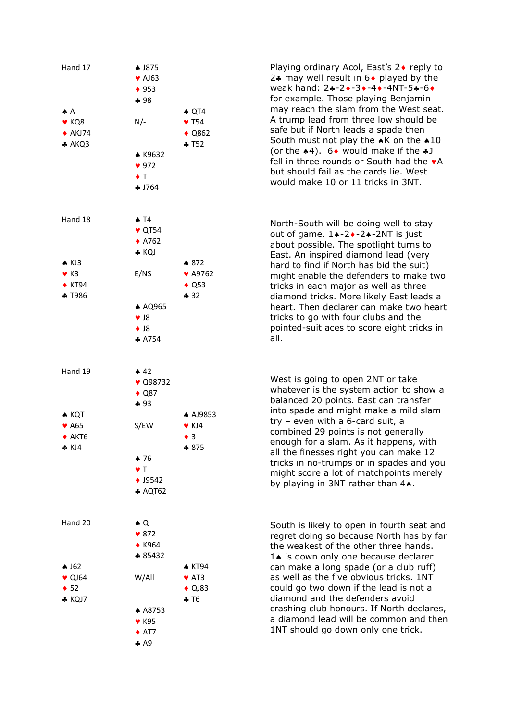

Playing ordinary Acol, East's 2♦ reply to 24 may well result in  $6\bullet$  played by the weak hand: 2+-2+-3+-4+-4NT-5+-6+ for example. Those playing Benjamin may reach the slam from the West seat. A trump lead from three low should be safe but if North leads a spade then South must not play the  $\triangle K$  on the  $\triangle 10$ (or the  $*4$ ). 6 would make if the  $*J$ fell in three rounds or South had the  $\bullet$ A but should fail as the cards lie. West would make 10 or 11 tricks in 3NT.

North-South will be doing well to stay out of game.  $1 \cdot -2 \cdot -2 \cdot -2N$ T is just about possible. The spotlight turns to East. An inspired diamond lead (very hard to find if North has bid the suit) might enable the defenders to make two tricks in each major as well as three diamond tricks. More likely East leads a heart. Then declarer can make two heart tricks to go with four clubs and the pointed-suit aces to score eight tricks in all.

West is going to open 2NT or take whatever is the system action to show a balanced 20 points. East can transfer into spade and might make a mild slam try – even with a 6-card suit, a combined 29 points is not generally enough for a slam. As it happens, with all the finesses right you can make 12 tricks in no-trumps or in spades and you might score a lot of matchpoints merely by playing in 3NT rather than 4..

South is likely to open in fourth seat and regret doing so because North has by far the weakest of the other three hands.  $1\spadesuit$  is down only one because declarer can make a long spade (or a club ruff) as well as the five obvious tricks. 1NT could go two down if the lead is not a diamond and the defenders avoid crashing club honours. If North declares, a diamond lead will be common and then 1NT should go down only one trick.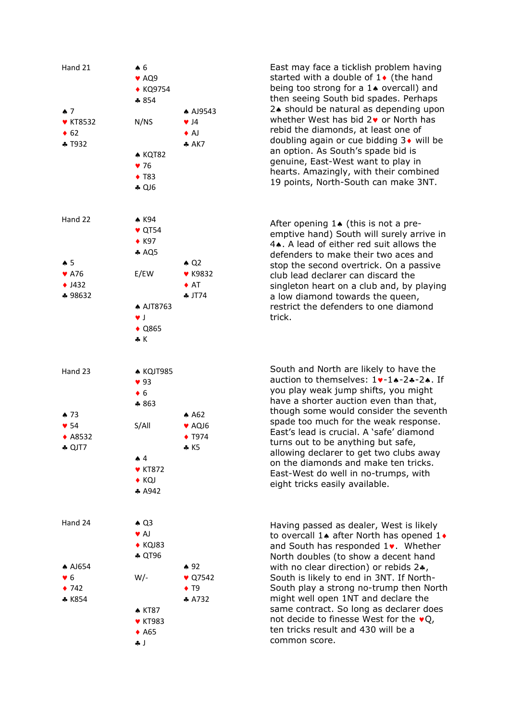

East may face a ticklish problem having started with a double of  $1\bullet$  (the hand being too strong for a  $1\spadesuit$  overcall) and then seeing South bid spades. Perhaps 2. should be natural as depending upon whether West has bid  $2\bullet$  or North has rebid the diamonds, at least one of doubling again or cue bidding  $3\bullet$  will be an option. As South's spade bid is genuine, East-West want to play in hearts. Amazingly, with their combined 19 points, North-South can make 3NT.

After opening  $1\spadesuit$  (this is not a preemptive hand) South will surely arrive in 4. A lead of either red suit allows the defenders to make their two aces and stop the second overtrick. On a passive club lead declarer can discard the singleton heart on a club and, by playing a low diamond towards the queen, restrict the defenders to one diamond trick.

South and North are likely to have the auction to themselves:  $1 \cdot -1 \cdot -2 \cdot -2 \cdot$ . If you play weak jump shifts, you might have a shorter auction even than that, though some would consider the seventh spade too much for the weak response. East's lead is crucial. A 'safe' diamond turns out to be anything but safe, allowing declarer to get two clubs away on the diamonds and make ten tricks. East-West do well in no-trumps, with eight tricks easily available.

Having passed as dealer, West is likely to overcall 1. after North has opened  $1 \cdot$ and South has responded  $1$ . Whether North doubles (to show a decent hand with no clear direction) or rebids  $2$ . South is likely to end in 3NT. If North-South play a strong no-trump then North might well open 1NT and declare the same contract. So long as declarer does not decide to finesse West for the  $\bullet$ O, ten tricks result and 430 will be a common score.